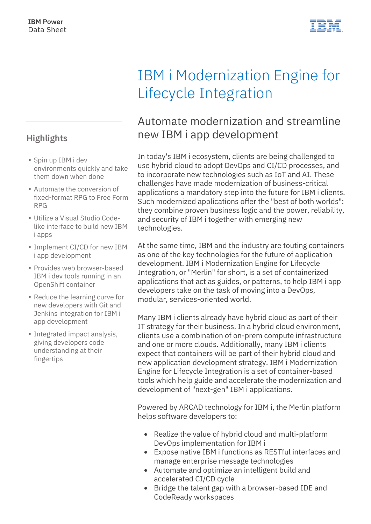### **Highlights**

- Spin up IBM i dev environments quickly and take them down when done
- Automate the conversion of fixed-format RPG to Free Form RPG
- Utilize a Visual Studio Codelike interface to build new IBM i apps
- Implement CI/CD for new IBM i app development
- Provides web browser-based IBM i dev tools running in an OpenShift container
- Reduce the learning curve for new developers with Git and Jenkins integration for IBM i app development
- Integrated impact analysis, giving developers code understanding at their fingertips

# IBM i Modernization Engine for Lifecycle Integration

## Automate modernization and streamline new IBM i app development

In today's IBM i ecosystem, clients are being challenged to use hybrid cloud to adopt DevOps and CI/CD processes, and to incorporate new technologies such as IoT and AI. These challenges have made modernization of business-critical applications a mandatory step into the future for IBM i clients. Such modernized applications offer the "best of both worlds": they combine proven business logic and the power, reliability, and security of IBM i together with emerging new technologies.

At the same time, IBM and the industry are touting containers as one of the key technologies for the future of application development. IBM i Modernization Engine for Lifecycle Integration, or "Merlin" for short, is a set of containerized applications that act as guides, or patterns, to help IBM i app developers take on the task of moving into a DevOps, modular, services-oriented world.

Many IBM i clients already have hybrid cloud as part of their IT strategy for their business. In a hybrid cloud environment, clients use a combination of on-prem compute infrastructure and one or more clouds. Additionally, many IBM i clients expect that containers will be part of their hybrid cloud and new application development strategy. IBM i Modernization Engine for Lifecycle Integration is a set of container-based tools which help guide and accelerate the modernization and development of "next-gen" IBM i applications.

Powered by ARCAD technology for IBM i, the Merlin platform helps software developers to:

- Realize the value of hybrid cloud and multi-platform DevOps implementation for IBM i
- Expose native IBM i functions as RESTful interfaces and manage enterprise message technologies
- Automate and optimize an intelligent build and accelerated CI/CD cycle
- Bridge the talent gap with a browser-based IDE and CodeReady workspaces